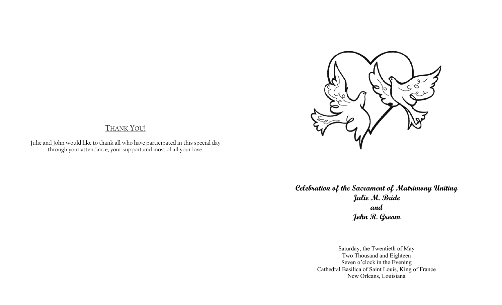

THANK YOU!

Julie and John would like to thank all who have participated in this special day through your attendance, your support and most of all your love.

> **Celebration of the Sacrament of Matrimony Uniting Julie M. Bride and John R. Groom**

> > Saturday, the Twentieth of May Two Thousand and Eighteen Seven o'clock in the Evening Cathedral Basilica of Saint Louis, King of France New Orleans, Louisiana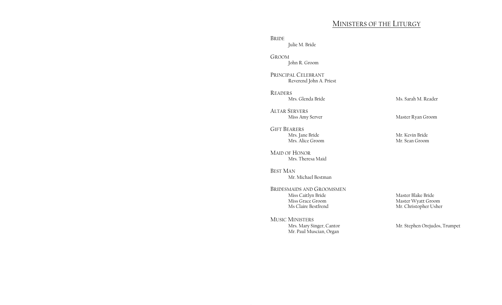# MINISTERS OF THE LITURGY

| <b>BRIDE</b><br>Julie M. Bride                                                                    |                                                                   |
|---------------------------------------------------------------------------------------------------|-------------------------------------------------------------------|
| <b>GROOM</b><br>John R. Groom                                                                     |                                                                   |
| PRINCIPAL CELEBRANT<br>Reverend John A. Priest                                                    |                                                                   |
| <b>READERS</b><br>Mrs. Glenda Bride                                                               | Ms. Sarah M. Reader                                               |
| <b>ALTAR SERVERS</b><br>Miss Amy Server                                                           | Master Ryan Groom                                                 |
| <b>GIFT BEARERS</b><br>Mrs. Jane Bride<br>Mrs. Alice Groom                                        | Mr. Kevin Bride<br>Mr. Sean Groom                                 |
| <b>MAID OF HONOR</b><br>Mrs. Theresa Maid                                                         |                                                                   |
| <b>BEST MAN</b><br>Mr. Michael Bestman                                                            |                                                                   |
| <b>BRIDESMAIDS AND GROOMSMEN</b><br>Miss Caitlyn Bride<br>Miss Grace Groom<br>Ms Claire Bestfrend | Master Blake Bride<br>Master Wyatt Groom<br>Mr. Christopher Usher |
| <b>MUSIC MINISTERS</b><br>Mrs. Mary Singer, Cantor<br>Mr. Paul Muscian, Organ                     | Mr. Stephen Orejudos, Trumpet                                     |

and the con-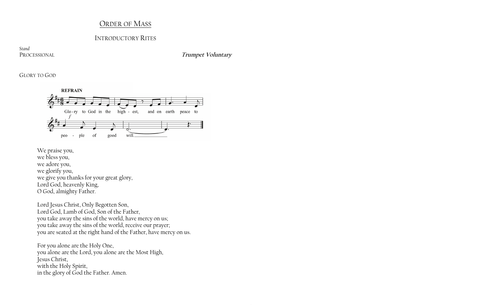# ORDER OF MASS

# INTRODUCTORY RITES

*Stand* PROCESSIONAL

**Trumpet Voluntary** 

## GLORY TO GOD



We praise you, we bless you, we adore you, we glorify you, we give you thanks for your great glory, Lord God, heavenly King, O God, almighty Father.

 Lord Jesus Christ, Only Begotten Son, Lord God, Lamb of God, Son of the Father, you take away the sins of the world, have mercy on us; you take away the sins of the world, receive our prayer; you are seated at the right hand of the Father, have mercy on us.

 For you alone are the Holy One, you alone are the Lord, you alone are the Most High, Jesus Christ, with the Holy Spirit, in the glory of God the Father. Amen.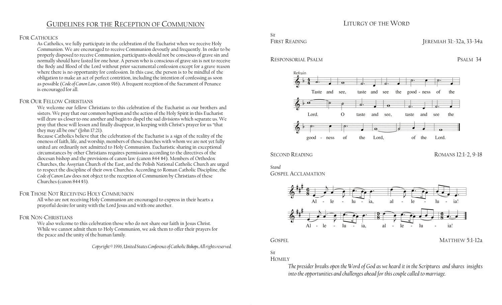# GUIDELINES FOR THE RECEPTION OF COMMUNION

#### FOR CATHOLICS

 As Catholics, we fully participate in the celebration of the Eucharist when we receive Holy Communion. We are encouraged to receive Communion devoutly and frequently. In order to be properly disposed to receive Communion, participants should not be conscious of grave sin and normally should have fasted for one hour. A person who is conscious of grave sin is not to receive the Body and Blood of the Lord without prior sacramental confession except for a grave reason where there is no opportunity for confession. In this case, the person is to be mindful of the obligation to make an act of perfect contrition, including the intention of confessing as soon as possible (*Code of Canon Law*, canon 916). A frequent reception of the Sacrament of Penance is encouraged for all.

## FOR OUR FELLOW CHRISTIANS

 We welcome our fellow Christians to this celebration of the Eucharist as our brothers and sisters. We pray that our common baptism and the action of the Holy Spirit in this Eucharist will draw us closer to one another and begin to dispel the sad divisions which separate us. We pray that these will lessen and finally disappear, in keeping with Christ's prayer for us "that they may all be one" (John 17:21).

 Because Catholics believe that the celebration of the Eucharist is a sign of the reality of the oneness of faith, life, and worship, members of those churches with whom we are not yet fully united are ordinarily not admitted to Holy Communion. Eucharistic sharing in exceptional circumstances by other Christians requires permission according to the directives of the diocesan bishop and the provisions of canon law (canon 844 §4). Members of Orthodox Churches, the Assyrian Church of the East, and the Polish National Catholic Church are urged to respect the discipline of their own Churches. According to Roman Catholic Discipline, the *Code of Canon Law* does not object to the reception of Communion by Christians of these Churches (canon 844 §3).

## FOR THOSE NOT RECEIVING HOLY COMMUNION

 All who are not receiving Holy Communion are encouraged to express in their hearts a prayerful desire for unity with the Lord Jesus and with one another.

## FOR NON-CHRISTIANS

 We also welcome to this celebration those who do not share our faith in Jesus Christ. While we cannot admit them to Holy Communion, we ask them to offer their prayers for the peace and the unity of the human family.

*Copyright © 1996, United States Conference of Catholic Bishops. All rights reserved.*

## LITURGY OF THE WORD

# *Sit*

#### FIRST READING JEREMIAH 31:-32a, 33-34a

#### RESPONSORIAL PSALM

PSALM 34



SECOND READING ROMANS 12:1-2, 9-18





GOSPEL MATTHEW 5:1-12a

#### *Sit*  HOMILY

*The presider breaks open the Word of God as we heard it in the Scriptures and shares insights into the opportunities and challenges ahead for this couple called to marriage.*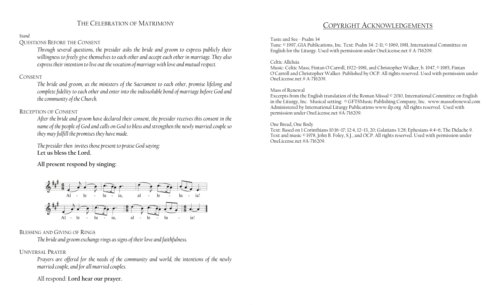# THE CELEBRATION OF MATRIMONY

# *Stand*

# QUESTIONS BEFORE THE CONSENT

*Through several questions, the presider asks the bride and groom to express publicly their willingness to freely give themselves to each other and accept each other in marriage. They also express their intention to live out the vocation of marriage with love and mutual respect.* 

# CONSENT

 *The bride and groom, as the ministers of the Sacrament to each other, promise lifelong and complete fidelity to each other and enter into the indissoluble bond of marriage before God and the community of the Church.*

# RECEPTION OF CONSENT

*After the bride and groom have declared their consent, the presider receives this consent in the name of the people of God and calls on God to bless and strengthen the newly married couple so they may fulfill the promises they have made.* 

 *The presider then invites those present to praise God saying:*  **Let us bless the Lord.** 

# **All present respond by singing:**



# BLESSING AND GIVING OF RINGS

*The bride and groom exchange rings as signs of their love and faithfulness.*

# UNIVERSAL PRAYER

*Prayers are offered for the needs of the community and world, the intentions of the newly married couple, and for all married couples.*

All respond: **Lord hear our prayer.** 

# COPYRIGHT ACKNOWLEDGEMENTS

# Taste and See - Psalm 34

Tune: © 1997, GIA Publications, Inc. Text: Psalm 34: 2-11; © 1969, 1981, International Committee on English for the Liturgy. Used with permission under OneLicense.net # A-716209.

### Celtic Alleluia

 Music: Celtic Mass; Fintan O'Carroll, 1922–1981, and Christopher Walker, b. 1947, © 1985, Fintan O'Carroll and Christopher Walker. Published by OCP. All rights reserved. Used with permission under OneLicense.net # A-716209.

## Mass of Renewal

Excerpts from the English translation of the Roman Missal © 2010, International Committee on English in the Liturgy, Inc. Musical setting: © GFTSMusic Publishing Company, Inc. www.massofrenewal.com Administered by International Liturgy Publications www.ilp.org All rights reserved. Used with permission under OneLicense.net #A-716209.

### One Bread, One Body

Text: Based on 1 Corinthians 10:16–17; 12:4, 12–13, 20; Galatians 3:28; Ephesians 4:4–6; The Didache 9. Text and music © 1978, John B. Foley, S.J., and OCP. All rights reserved. Used with permission under OneLicense.net #A-716209.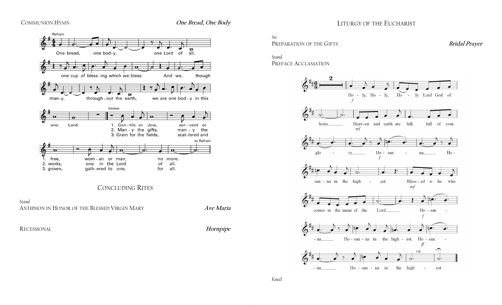**One Bread, One Body** 



CONCLUDING RITES

*Stand*  ANTIPHON IN HONOR OF THE BLESSED VIRGIN MARY **Ave Maria** 

RECESSIONAL

**Hornpipe**

# LITURGY OF THE EUCHARIST

*Sit* 

PREPARATION OF THE GIFTS

**Bridal Prayer** 

# *Stand*  PREFACE ACCLAMATION